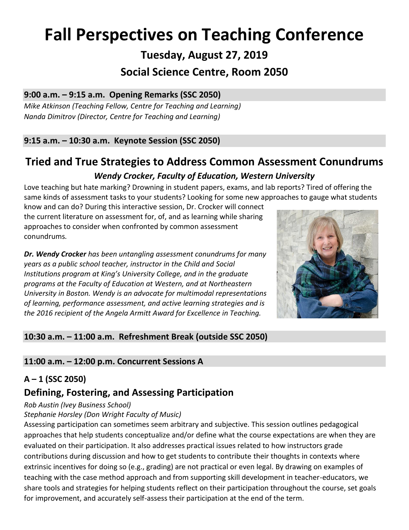# **Fall Perspectives on Teaching Conference**

**Tuesday, August 27, 2019**

# **Social Science Centre, Room 2050**

## **9:00 a.m. – 9:15 a.m. Opening Remarks (SSC 2050)**

*Mike Atkinson (Teaching Fellow, Centre for Teaching and Learning) Nanda Dimitrov (Director, Centre for Teaching and Learning)*

## **9:15 a.m. – 10:30 a.m. Keynote Session (SSC 2050)**

# **Tried and True Strategies to Address Common Assessment Conundrums**

### *Wendy Crocker, Faculty of Education, Western University*

Love teaching but hate marking? Drowning in student papers, exams, and lab reports? Tired of offering the same kinds of assessment tasks to your students? Looking for some new approaches to gauge what students

know and can do? During this interactive session, Dr. Crocker will connect the current literature on assessment for, of, and as learning while sharing approaches to consider when confronted by common assessment conundrums*.*

*Dr. Wendy Crocker has been untangling assessment conundrums for many years as a public school teacher, instructor in the Child and Social Institutions program at King's University College, and in the graduate programs at the Faculty of Education at Western, and at Northeastern University in Boston. Wendy is an advocate for multimodal representations of learning, performance assessment, and active learning strategies and is the 2016 recipient of the Angela Armitt Award for Excellence in Teaching.*



### **10:30 a.m. – 11:00 a.m. Refreshment Break (outside SSC 2050)**

### **11:00 a.m. – 12:00 p.m. Concurrent Sessions A**

### **A – 1 (SSC 2050)**

# **Defining, Fostering, and Assessing Participation**

#### *Rob Austin (Ivey Business School)*

#### *Stephanie Horsley (Don Wright Faculty of Music)*

Assessing participation can sometimes seem arbitrary and subjective. This session outlines pedagogical approaches that help students conceptualize and/or define what the course expectations are when they are evaluated on their participation. It also addresses practical issues related to how instructors grade contributions during discussion and how to get students to contribute their thoughts in contexts where extrinsic incentives for doing so (e.g., grading) are not practical or even legal. By drawing on examples of teaching with the case method approach and from supporting skill development in teacher-educators, we share tools and strategies for helping students reflect on their participation throughout the course, set goals for improvement, and accurately self-assess their participation at the end of the term.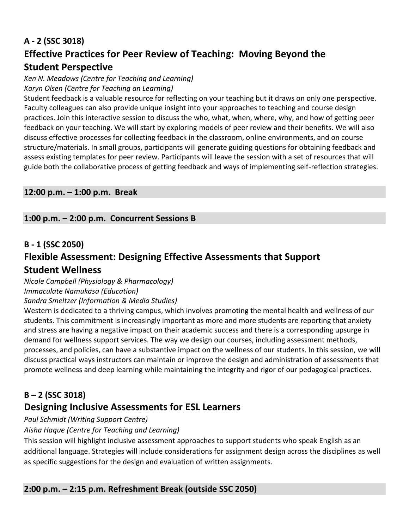## **A - 2 (SSC 3018)**

# **Effective Practices for Peer Review of Teaching: Moving Beyond the Student Perspective**

*Ken N. Meadows (Centre for Teaching and Learning) Karyn Olsen (Centre for Teaching an Learning)*

Student feedback is a valuable resource for reflecting on your teaching but it draws on only one perspective. Faculty colleagues can also provide unique insight into your approaches to teaching and course design practices. Join this interactive session to discuss the who, what, when, where, why, and how of getting peer feedback on your teaching. We will start by exploring models of peer review and their benefits. We will also discuss effective processes for collecting feedback in the classroom, online environments, and on course structure/materials. In small groups, participants will generate guiding questions for obtaining feedback and assess existing templates for peer review. Participants will leave the session with a set of resources that will guide both the collaborative process of getting feedback and ways of implementing self-reflection strategies.

#### **12:00 p.m. – 1:00 p.m. Break**

#### **1:00 p.m. – 2:00 p.m. Concurrent Sessions B**

#### **B - 1 (SSC 2050)**

# **Flexible Assessment: Designing Effective Assessments that Support Student Wellness**

*Nicole Campbell (Physiology & Pharmacology) Immaculate Namukasa (Education)*

*Sandra Smeltzer (Information & Media Studies)*

Western is dedicated to a thriving campus, which involves promoting the mental health and wellness of our students. This commitment is increasingly important as more and more students are reporting that anxiety and stress are having a negative impact on their academic success and there is a corresponding upsurge in demand for wellness support services. The way we design our courses, including assessment methods, processes, and policies, can have a substantive impact on the wellness of our students. In this session, we will discuss practical ways instructors can maintain or improve the design and administration of assessments that promote wellness and deep learning while maintaining the integrity and rigor of our pedagogical practices.

# **B – 2 (SSC 3018) Designing Inclusive Assessments for ESL Learners**

*Paul Schmidt (Writing Support Centre)*

*Aisha Haque (Centre for Teaching and Learning)*

This session will highlight inclusive assessment approaches to support students who speak English as an additional language. Strategies will include considerations for assignment design across the disciplines as well as specific suggestions for the design and evaluation of written assignments.